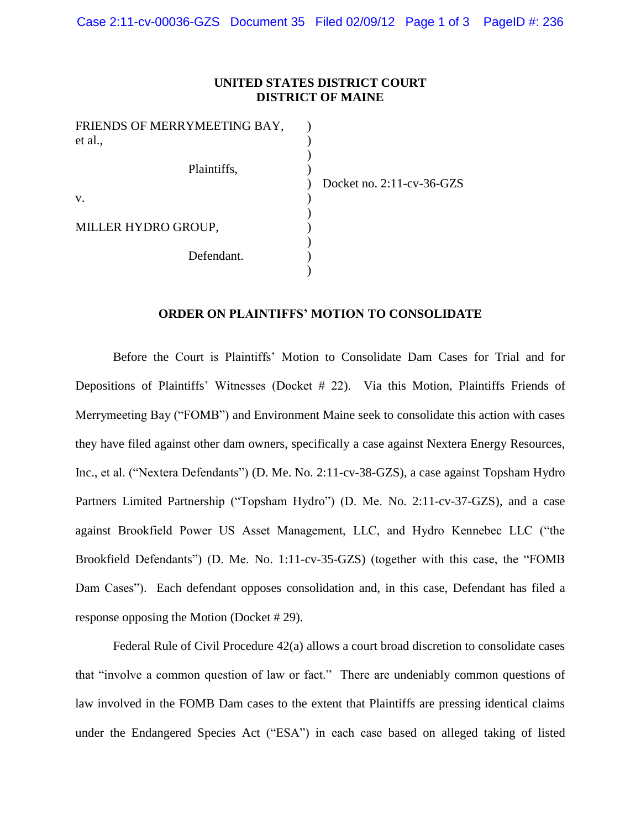## **UNITED STATES DISTRICT COURT DISTRICT OF MAINE**

| FRIENDS OF MERRYMEETING BAY, |                |
|------------------------------|----------------|
| et al.,                      |                |
| Plaintiffs,                  |                |
|                              | Docket no. 2:1 |
| V.                           |                |
|                              |                |
| MILLER HYDRO GROUP,          |                |
| Defendant.                   |                |
|                              |                |

 $1$ -cv-36-GZS

## **ORDER ON PLAINTIFFS' MOTION TO CONSOLIDATE**

Before the Court is Plaintiffs' Motion to Consolidate Dam Cases for Trial and for Depositions of Plaintiffs' Witnesses (Docket # 22). Via this Motion, Plaintiffs Friends of Merrymeeting Bay ("FOMB") and Environment Maine seek to consolidate this action with cases they have filed against other dam owners, specifically a case against Nextera Energy Resources, Inc., et al. ("Nextera Defendants") (D. Me. No. 2:11-cv-38-GZS), a case against Topsham Hydro Partners Limited Partnership ("Topsham Hydro") (D. Me. No. 2:11-cv-37-GZS), and a case against Brookfield Power US Asset Management, LLC, and Hydro Kennebec LLC ("the Brookfield Defendants") (D. Me. No. 1:11-cv-35-GZS) (together with this case, the "FOMB Dam Cases"). Each defendant opposes consolidation and, in this case, Defendant has filed a response opposing the Motion (Docket # 29).

Federal Rule of Civil Procedure 42(a) allows a court broad discretion to consolidate cases that "involve a common question of law or fact." There are undeniably common questions of law involved in the FOMB Dam cases to the extent that Plaintiffs are pressing identical claims under the Endangered Species Act ("ESA") in each case based on alleged taking of listed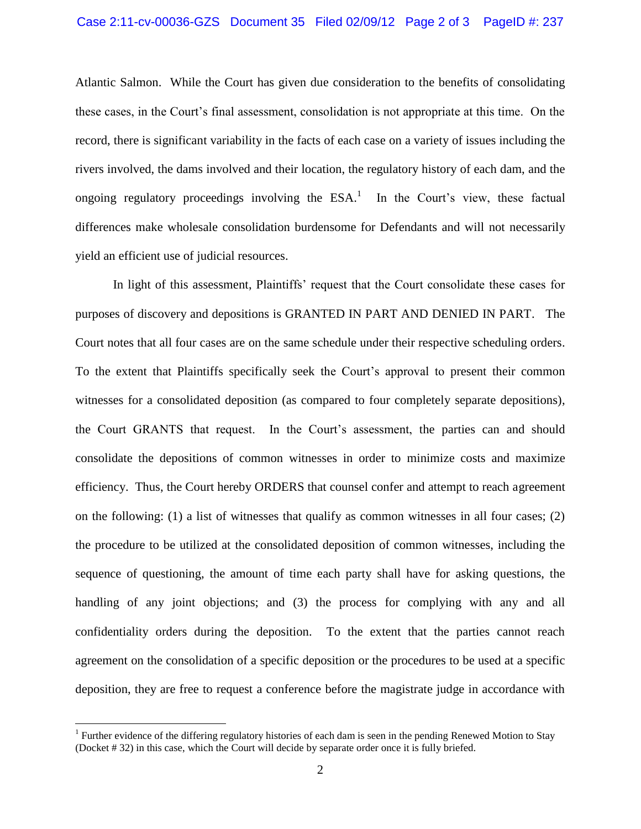## Case 2:11-cv-00036-GZS Document 35 Filed 02/09/12 Page 2 of 3 PageID #: 237

Atlantic Salmon. While the Court has given due consideration to the benefits of consolidating these cases, in the Court's final assessment, consolidation is not appropriate at this time. On the record, there is significant variability in the facts of each case on a variety of issues including the rivers involved, the dams involved and their location, the regulatory history of each dam, and the ongoing regulatory proceedings involving the  $ESA<sup>1</sup>$ . In the Court's view, these factual differences make wholesale consolidation burdensome for Defendants and will not necessarily yield an efficient use of judicial resources.

In light of this assessment, Plaintiffs' request that the Court consolidate these cases for purposes of discovery and depositions is GRANTED IN PART AND DENIED IN PART. The Court notes that all four cases are on the same schedule under their respective scheduling orders. To the extent that Plaintiffs specifically seek the Court's approval to present their common witnesses for a consolidated deposition (as compared to four completely separate depositions), the Court GRANTS that request. In the Court's assessment, the parties can and should consolidate the depositions of common witnesses in order to minimize costs and maximize efficiency. Thus, the Court hereby ORDERS that counsel confer and attempt to reach agreement on the following: (1) a list of witnesses that qualify as common witnesses in all four cases; (2) the procedure to be utilized at the consolidated deposition of common witnesses, including the sequence of questioning, the amount of time each party shall have for asking questions, the handling of any joint objections; and (3) the process for complying with any and all confidentiality orders during the deposition. To the extent that the parties cannot reach agreement on the consolidation of a specific deposition or the procedures to be used at a specific deposition, they are free to request a conference before the magistrate judge in accordance with

 $\overline{a}$ 

<sup>&</sup>lt;sup>1</sup> Further evidence of the differing regulatory histories of each dam is seen in the pending Renewed Motion to Stay (Docket # 32) in this case, which the Court will decide by separate order once it is fully briefed.